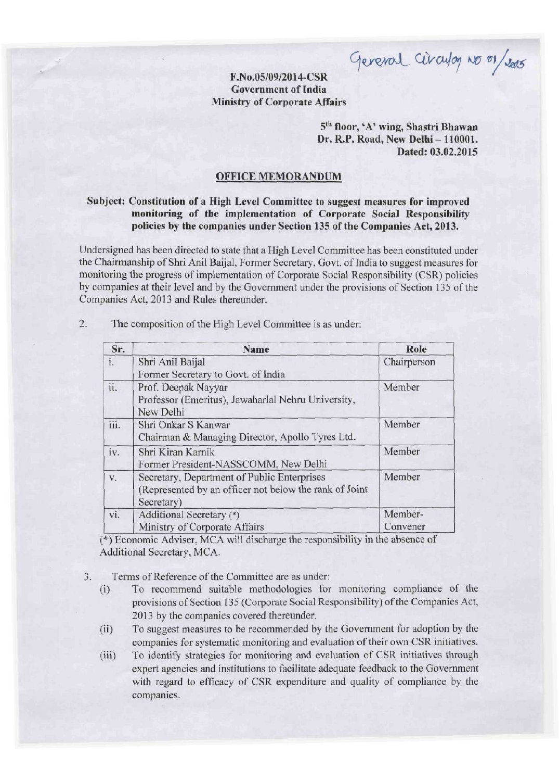General Circulay No 01/2015

## **F.NO.05/09/2014-CSR Government of India Ministry of Corporate Affairs**

**5 th floor,<sup>4</sup>A' wing, Shastri Bhawan Dr. R.P. Road, New Delhi - 110001. Dated: 03.02.2015** 

## **OFFICE MEMORANDUM**

## **Subject: Constitution of a High Level Committee to suggest measures for improved monitoring of the implementation of Corporate Social Responsibility policies by the companies under Section 135 of the Companies Act, 2013.**

Undersigned has been directed to state that a High Level Committee has been constituted under the Chairmanship of Shri Anil Baijal, Former Secretary, Govt, of India to suggest measures for monitoring the progress of implementation of Corporate Social Responsibility (CSR) policies by companies at their level and by the Government under the provisions of Section 135 of the Companies Act, 2013 and Rules thereunder.

| Sr.  | Name                                                                                                                | Role                |
|------|---------------------------------------------------------------------------------------------------------------------|---------------------|
| i.   | Shri Anil Baijal<br>Former Secretary to Govt. of India                                                              | Chairperson         |
| ii.  | Prof. Deepak Nayyar<br>Professor (Emeritus), Jawaharlal Nehru University,<br>New Delhi                              | Member              |
| iii. | Shri Onkar S Kanwar<br>Chairman & Managing Director, Apollo Tyres Ltd.                                              | Member              |
| iv.  | Shri Kiran Karnik<br>Former President-NASSCOMM, New Delhi                                                           | Member              |
| V.   | Secretary, Department of Public Enterprises<br>(Represented by an officer not below the rank of Joint<br>Secretary) | Member              |
| vi.  | Additional Secretary (*)<br>Ministry of Corporate Affairs                                                           | Member-<br>Convener |

**2.** The composition of the High Level Committee is as under:

(\*) Economic Adviser, MCA will discharge the responsibility in the absence of Additional Secretary, MCA.

- Terms of Reference of the Committee are as under:  $3.$ 
	- (i) To recommend suitable methodologies for monitoring compliance of the provisions of Section 135 (Corporate Social Responsibility) of the Companies Act, 2013 by the companies covered thereunder.
	- (ii) To suggest measures to be recommended by the Government for adoption by the companies for systematic monitoring and evaluation of their own CSR initiatives.
	- (iii) To identify strategies for monitoring and evaluation of CSR initiatives through expert agencies and institutions to facilitate adequate feedback to the Government with regard to efficacy of CSR expenditure and quality of compliance by the companies.